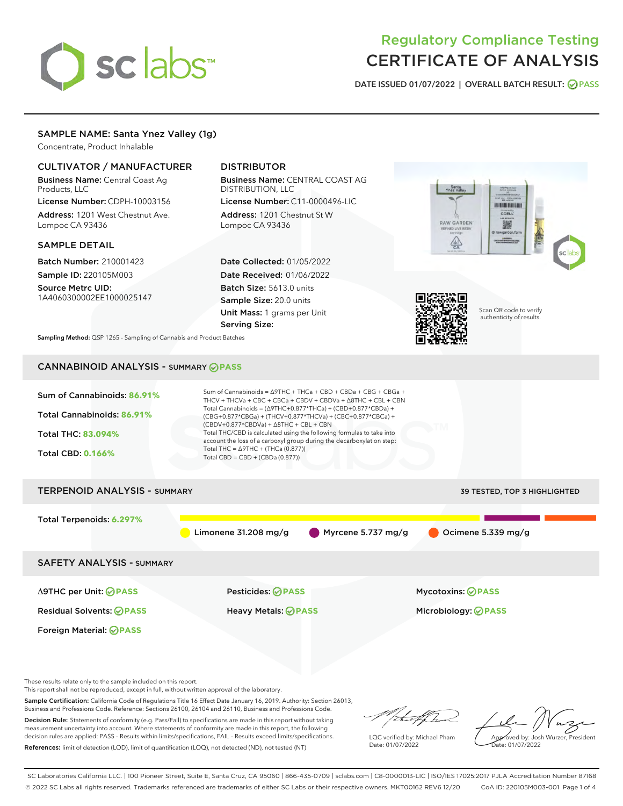# sclabs<sup>\*</sup>

# Regulatory Compliance Testing CERTIFICATE OF ANALYSIS

DATE ISSUED 01/07/2022 | OVERALL BATCH RESULT: @ PASS

# SAMPLE NAME: Santa Ynez Valley (1g)

Concentrate, Product Inhalable

# CULTIVATOR / MANUFACTURER

Business Name: Central Coast Ag Products, LLC

License Number: CDPH-10003156 Address: 1201 West Chestnut Ave. Lompoc CA 93436

#### SAMPLE DETAIL

Batch Number: 210001423 Sample ID: 220105M003

Source Metrc UID: 1A4060300002EE1000025147

# DISTRIBUTOR

Business Name: CENTRAL COAST AG DISTRIBUTION, LLC License Number: C11-0000496-LIC

Address: 1201 Chestnut St W Lompoc CA 93436

Date Collected: 01/05/2022 Date Received: 01/06/2022 Batch Size: 5613.0 units Sample Size: 20.0 units Unit Mass: 1 grams per Unit Serving Size:





Scan QR code to verify authenticity of results.

Sampling Method: QSP 1265 - Sampling of Cannabis and Product Batches

# CANNABINOID ANALYSIS - SUMMARY **PASS**

| Sum of Cannabinoids: 86.91%<br>Total Cannabinoids: 86.91%<br><b>Total THC: 83.094%</b><br><b>Total CBD: 0.166%</b> | Sum of Cannabinoids = $\triangle$ 9THC + THCa + CBD + CBDa + CBG + CBGa +<br>THCV + THCVa + CBC + CBCa + CBDV + CBDVa + A8THC + CBL + CBN<br>Total Cannabinoids = $(\Delta$ 9THC+0.877*THCa) + (CBD+0.877*CBDa) +<br>(CBG+0.877*CBGa) + (THCV+0.877*THCVa) + (CBC+0.877*CBCa) +<br>$(CBDV+0.877*CBDVa) + \Delta 8THC + CBL + CBN$<br>Total THC/CBD is calculated using the following formulas to take into<br>account the loss of a carboxyl group during the decarboxylation step:<br>Total THC = $\triangle$ 9THC + (THCa (0.877))<br>Total CBD = CBD + (CBDa (0.877)) |                              |  |  |  |  |
|--------------------------------------------------------------------------------------------------------------------|--------------------------------------------------------------------------------------------------------------------------------------------------------------------------------------------------------------------------------------------------------------------------------------------------------------------------------------------------------------------------------------------------------------------------------------------------------------------------------------------------------------------------------------------------------------------------|------------------------------|--|--|--|--|
| <b>TERPENOID ANALYSIS - SUMMARY</b>                                                                                |                                                                                                                                                                                                                                                                                                                                                                                                                                                                                                                                                                          | 39 TESTED, TOP 3 HIGHLIGHTED |  |  |  |  |
| Total Terpenoids: 6.297%                                                                                           | Myrcene 5.737 mg/g<br>Limonene $31.208$ mg/g                                                                                                                                                                                                                                                                                                                                                                                                                                                                                                                             | Ocimene 5.339 mg/g           |  |  |  |  |
| <b>SAFETY ANALYSIS - SUMMARY</b>                                                                                   |                                                                                                                                                                                                                                                                                                                                                                                                                                                                                                                                                                          |                              |  |  |  |  |
| ∆9THC per Unit: ⊘PASS                                                                                              | Pesticides: ⊘PASS                                                                                                                                                                                                                                                                                                                                                                                                                                                                                                                                                        | <b>Mycotoxins: ⊘PASS</b>     |  |  |  |  |
| <b>Residual Solvents: ⊘PASS</b>                                                                                    | <b>Heavy Metals: ⊘ PASS</b>                                                                                                                                                                                                                                                                                                                                                                                                                                                                                                                                              | Microbiology: @PASS          |  |  |  |  |

These results relate only to the sample included on this report.

Foreign Material: **PASS**

This report shall not be reproduced, except in full, without written approval of the laboratory.

Sample Certification: California Code of Regulations Title 16 Effect Date January 16, 2019. Authority: Section 26013, Business and Professions Code. Reference: Sections 26100, 26104 and 26110, Business and Professions Code.

Decision Rule: Statements of conformity (e.g. Pass/Fail) to specifications are made in this report without taking measurement uncertainty into account. Where statements of conformity are made in this report, the following decision rules are applied: PASS – Results within limits/specifications, FAIL – Results exceed limits/specifications. References: limit of detection (LOD), limit of quantification (LOQ), not detected (ND), not tested (NT)

that for

LQC verified by: Michael Pham Date: 01/07/2022

Approved by: Josh Wurzer, President Date: 01/07/2022

SC Laboratories California LLC. | 100 Pioneer Street, Suite E, Santa Cruz, CA 95060 | 866-435-0709 | sclabs.com | C8-0000013-LIC | ISO/IES 17025:2017 PJLA Accreditation Number 87168 © 2022 SC Labs all rights reserved. Trademarks referenced are trademarks of either SC Labs or their respective owners. MKT00162 REV6 12/20 CoA ID: 220105M003-001 Page 1 of 4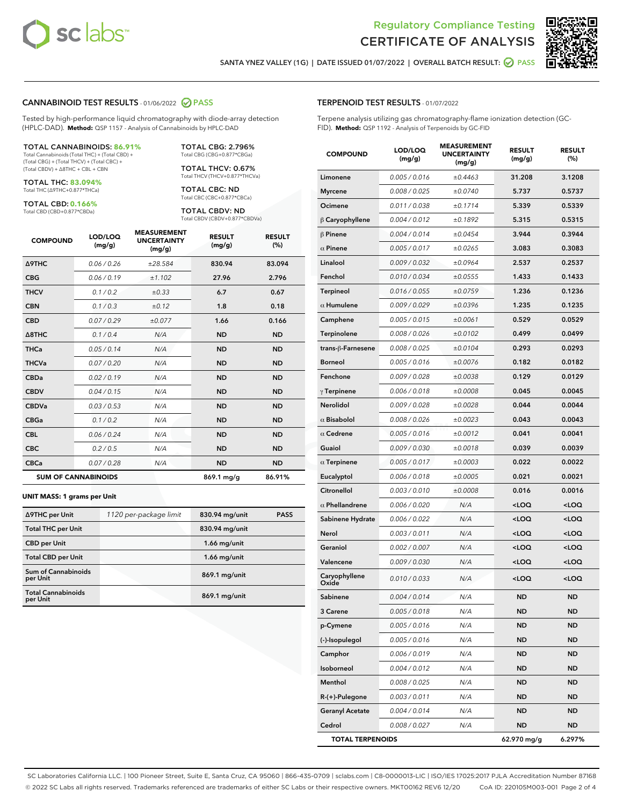



SANTA YNEZ VALLEY (1G) | DATE ISSUED 01/07/2022 | OVERALL BATCH RESULT: @ PASS

#### CANNABINOID TEST RESULTS - 01/06/2022 2 PASS

Tested by high-performance liquid chromatography with diode-array detection (HPLC-DAD). **Method:** QSP 1157 - Analysis of Cannabinoids by HPLC-DAD

#### TOTAL CANNABINOIDS: **86.91%**

Total Cannabinoids (Total THC) + (Total CBD) + (Total CBG) + (Total THCV) + (Total CBC) + (Total CBDV) + ∆8THC + CBL + CBN

TOTAL THC: **83.094%** Total THC (∆9THC+0.877\*THCa)

TOTAL CBD: **0.166%** Total CBD (CBD+0.877\*CBDa)

TOTAL THCV: 0.67% Total THCV (THCV+0.877\*THCVa)

> TOTAL CBC: ND Total CBC (CBC+0.877\*CBCa)

TOTAL CBG: 2.796% Total CBG (CBG+0.877\*CBGa)

TOTAL CBDV: ND Total CBDV (CBDV+0.877\*CBDVa)

| <b>COMPOUND</b>  | LOD/LOQ<br>(mg/g)          | <b>MEASUREMENT</b><br><b>UNCERTAINTY</b><br>(mg/g) | <b>RESULT</b><br>(mg/g) | <b>RESULT</b><br>(%) |
|------------------|----------------------------|----------------------------------------------------|-------------------------|----------------------|
| <b>A9THC</b>     | 0.06 / 0.26                | ±28.584                                            | 830.94                  | 83.094               |
| <b>CBG</b>       | 0.06/0.19                  | ±1.102                                             | 27.96                   | 2.796                |
| <b>THCV</b>      | 0.1/0.2                    | ±0.33                                              | 6.7                     | 0.67                 |
| <b>CBN</b>       | 0.1/0.3                    | ±0.12                                              | 1.8                     | 0.18                 |
| <b>CBD</b>       | 0.07/0.29                  | ±0.077                                             | 1.66                    | 0.166                |
| $\triangle$ 8THC | 0.1 / 0.4                  | N/A                                                | <b>ND</b>               | <b>ND</b>            |
| <b>THCa</b>      | 0.05/0.14                  | N/A                                                | <b>ND</b>               | <b>ND</b>            |
| <b>THCVa</b>     | 0.07/0.20                  | N/A                                                | <b>ND</b>               | <b>ND</b>            |
| <b>CBDa</b>      | 0.02/0.19                  | N/A                                                | <b>ND</b>               | <b>ND</b>            |
| <b>CBDV</b>      | 0.04 / 0.15                | N/A                                                | <b>ND</b>               | <b>ND</b>            |
| <b>CBDVa</b>     | 0.03/0.53                  | N/A                                                | <b>ND</b>               | <b>ND</b>            |
| <b>CBGa</b>      | 0.1/0.2                    | N/A                                                | <b>ND</b>               | <b>ND</b>            |
| <b>CBL</b>       | 0.06 / 0.24                | N/A                                                | <b>ND</b>               | <b>ND</b>            |
| <b>CBC</b>       | 0.2 / 0.5                  | N/A                                                | <b>ND</b>               | <b>ND</b>            |
| <b>CBCa</b>      | 0.07 / 0.28                | N/A                                                | <b>ND</b>               | <b>ND</b>            |
|                  | <b>SUM OF CANNABINOIDS</b> |                                                    | 869.1 mg/g              | 86.91%               |

#### **UNIT MASS: 1 grams per Unit**

| ∆9THC per Unit                         | 1120 per-package limit | 830.94 mg/unit | <b>PASS</b> |
|----------------------------------------|------------------------|----------------|-------------|
| <b>Total THC per Unit</b>              |                        | 830.94 mg/unit |             |
| <b>CBD per Unit</b>                    |                        | $1.66$ mg/unit |             |
| <b>Total CBD per Unit</b>              |                        | $1.66$ mg/unit |             |
| <b>Sum of Cannabinoids</b><br>per Unit |                        | 869.1 mg/unit  |             |
| <b>Total Cannabinoids</b><br>per Unit  |                        | 869.1 mg/unit  |             |

#### TERPENOID TEST RESULTS - 01/07/2022

Terpene analysis utilizing gas chromatography-flame ionization detection (GC-FID). **Method:** QSP 1192 - Analysis of Terpenoids by GC-FID

| <b>COMPOUND</b>         | LOD/LOQ<br>(mg/g) | <b>MEASUREMENT</b><br><b>UNCERTAINTY</b><br>(mg/g) | <b>RESULT</b><br>(mg/g)                          | <b>RESULT</b><br>(%) |
|-------------------------|-------------------|----------------------------------------------------|--------------------------------------------------|----------------------|
| Limonene                | 0.005 / 0.016     | ±0.4463                                            | 31.208                                           | 3.1208               |
| <b>Myrcene</b>          | 0.008 / 0.025     | ±0.0740                                            | 5.737                                            | 0.5737               |
| Ocimene                 | 0.011 / 0.038     | ±0.1714                                            | 5.339                                            | 0.5339               |
| $\beta$ Caryophyllene   | 0.004 / 0.012     | ±0.1892                                            | 5.315                                            | 0.5315               |
| $\beta$ Pinene          | 0.004 / 0.014     | ±0.0454                                            | 3.944                                            | 0.3944               |
| $\alpha$ Pinene         | 0.005 / 0.017     | ±0.0265                                            | 3.083                                            | 0.3083               |
| Linalool                | 0.009 / 0.032     | ±0.0964                                            | 2.537                                            | 0.2537               |
| Fenchol                 | 0.010 / 0.034     | ±0.0555                                            | 1.433                                            | 0.1433               |
| Terpineol               | 0.016 / 0.055     | ±0.0759                                            | 1.236                                            | 0.1236               |
| $\alpha$ Humulene       | 0.009 / 0.029     | ±0.0396                                            | 1.235                                            | 0.1235               |
| Camphene                | 0.005 / 0.015     | ±0.0061                                            | 0.529                                            | 0.0529               |
| Terpinolene             | 0.008 / 0.026     | ±0.0102                                            | 0.499                                            | 0.0499               |
| trans-ß-Farnesene       | 0.008 / 0.025     | ±0.0104                                            | 0.293                                            | 0.0293               |
| <b>Borneol</b>          | 0.005 / 0.016     | ±0.0076                                            | 0.182                                            | 0.0182               |
| Fenchone                | 0.009 / 0.028     | ±0.0038                                            | 0.129                                            | 0.0129               |
| $\gamma$ Terpinene      | 0.006 / 0.018     | ±0.0008                                            | 0.045                                            | 0.0045               |
| Nerolidol               | 0.009 / 0.028     | ±0.0028                                            | 0.044                                            | 0.0044               |
| $\alpha$ Bisabolol      | 0.008 / 0.026     | ±0.0023                                            | 0.043                                            | 0.0043               |
| $\alpha$ Cedrene        | 0.005 / 0.016     | ±0.0012                                            | 0.041                                            | 0.0041               |
| Guaiol                  | 0.009 / 0.030     | ±0.0018                                            | 0.039                                            | 0.0039               |
| $\alpha$ Terpinene      | 0.005 / 0.017     | ±0.0003                                            | 0.022                                            | 0.0022               |
| Eucalyptol              | 0.006 / 0.018     | ±0.0005                                            | 0.021                                            | 0.0021               |
| Citronellol             | 0.003 / 0.010     | ±0.0008                                            | 0.016                                            | 0.0016               |
| $\alpha$ Phellandrene   | 0.006 / 0.020     | N/A                                                | <loq< th=""><th><loq< th=""></loq<></th></loq<>  | <loq< th=""></loq<>  |
| Sabinene Hydrate        | 0.006 / 0.022     | N/A                                                | <loq< th=""><th><math>&lt;</math>LOQ</th></loq<> | $<$ LOQ              |
| Nerol                   | 0.003 / 0.011     | N/A                                                | <loq< th=""><th><loq< th=""></loq<></th></loq<>  | <loq< th=""></loq<>  |
| Geraniol                | 0.002 / 0.007     | N/A                                                | <loq< th=""><th><loq< th=""></loq<></th></loq<>  | <loq< th=""></loq<>  |
| Valencene               | 0.009 / 0.030     | N/A                                                | <loq< th=""><th><loq< th=""></loq<></th></loq<>  | <loq< th=""></loq<>  |
| Caryophyllene<br>Oxide  | 0.010 / 0.033     | N/A                                                | <loq< th=""><th><loq< th=""></loq<></th></loq<>  | <loq< th=""></loq<>  |
| Sabinene                | 0.004 / 0.014     | N/A                                                | ND                                               | ND                   |
| 3 Carene                | 0.005 / 0.018     | N/A                                                | ND                                               | <b>ND</b>            |
| p-Cymene                | 0.005 / 0.016     | N/A                                                | <b>ND</b>                                        | <b>ND</b>            |
| (-)-Isopulegol          | 0.005 / 0.016     | N/A                                                | ND                                               | <b>ND</b>            |
| Camphor                 | 0.006 / 0.019     | N/A                                                | ND                                               | <b>ND</b>            |
| Isoborneol              | 0.004 / 0.012     | N/A                                                | ND                                               | ND                   |
| Menthol                 | 0.008 / 0.025     | N/A                                                | ND                                               | ND                   |
| $R-(+)$ -Pulegone       | 0.003 / 0.011     | N/A                                                | ND                                               | <b>ND</b>            |
| <b>Geranyl Acetate</b>  | 0.004 / 0.014     | N/A                                                | ND                                               | ND                   |
| Cedrol                  | 0.008 / 0.027     | N/A                                                | ND                                               | <b>ND</b>            |
| <b>TOTAL TERPENOIDS</b> |                   |                                                    | 62.970 mg/g                                      | 6.297%               |

SC Laboratories California LLC. | 100 Pioneer Street, Suite E, Santa Cruz, CA 95060 | 866-435-0709 | sclabs.com | C8-0000013-LIC | ISO/IES 17025:2017 PJLA Accreditation Number 87168 © 2022 SC Labs all rights reserved. Trademarks referenced are trademarks of either SC Labs or their respective owners. MKT00162 REV6 12/20 CoA ID: 220105M003-001 Page 2 of 4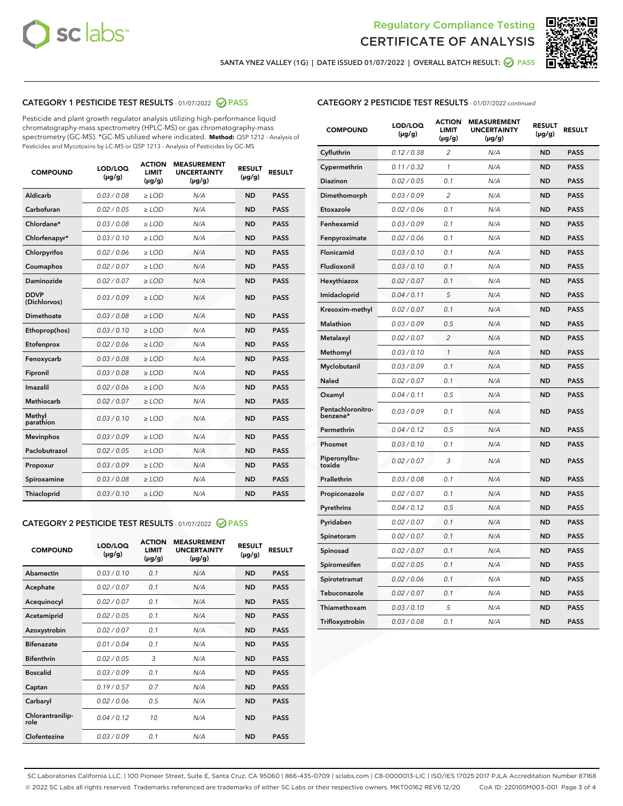



SANTA YNEZ VALLEY (1G) | DATE ISSUED 01/07/2022 | OVERALL BATCH RESULT: 2 PASS

# CATEGORY 1 PESTICIDE TEST RESULTS - 01/07/2022 2 PASS

Pesticide and plant growth regulator analysis utilizing high-performance liquid chromatography-mass spectrometry (HPLC-MS) or gas chromatography-mass spectrometry (GC-MS). \*GC-MS utilized where indicated. **Method:** QSP 1212 - Analysis of Pesticides and Mycotoxins by LC-MS or QSP 1213 - Analysis of Pesticides by GC-MS

| <b>COMPOUND</b>             | LOD/LOQ<br>$(\mu g/g)$ | <b>ACTION</b><br><b>LIMIT</b><br>$(\mu g/g)$ | <b>MEASUREMENT</b><br><b>UNCERTAINTY</b><br>$(\mu g/g)$ | <b>RESULT</b><br>$(\mu g/g)$ | <b>RESULT</b> |
|-----------------------------|------------------------|----------------------------------------------|---------------------------------------------------------|------------------------------|---------------|
| Aldicarb                    | 0.03/0.08              | $>$ LOD                                      | N/A                                                     | <b>ND</b>                    | <b>PASS</b>   |
| Carbofuran                  | 0.02 / 0.05            | $\ge$ LOD                                    | N/A                                                     | <b>ND</b>                    | <b>PASS</b>   |
| Chlordane*                  | 0.03 / 0.08            | $\geq$ LOD                                   | N/A                                                     | <b>ND</b>                    | <b>PASS</b>   |
| Chlorfenapyr*               | 0.03/0.10              | $\ge$ LOD                                    | N/A                                                     | <b>ND</b>                    | <b>PASS</b>   |
| Chlorpyrifos                | 0.02 / 0.06            | $\ge$ LOD                                    | N/A                                                     | <b>ND</b>                    | <b>PASS</b>   |
| Coumaphos                   | 0.02 / 0.07            | $\ge$ LOD                                    | N/A                                                     | <b>ND</b>                    | <b>PASS</b>   |
| Daminozide                  | 0.02/0.07              | $>$ LOD                                      | N/A                                                     | <b>ND</b>                    | <b>PASS</b>   |
| <b>DDVP</b><br>(Dichlorvos) | 0.03/0.09              | $\ge$ LOD                                    | N/A                                                     | <b>ND</b>                    | <b>PASS</b>   |
| <b>Dimethoate</b>           | 0.03/0.08              | $\ge$ LOD                                    | N/A                                                     | <b>ND</b>                    | <b>PASS</b>   |
| Ethoprop(hos)               | 0.03/0.10              | $\ge$ LOD                                    | N/A                                                     | <b>ND</b>                    | <b>PASS</b>   |
| Etofenprox                  | 0.02 / 0.06            | $\ge$ LOD                                    | N/A                                                     | <b>ND</b>                    | <b>PASS</b>   |
| Fenoxycarb                  | 0.03/0.08              | $\ge$ LOD                                    | N/A                                                     | <b>ND</b>                    | <b>PASS</b>   |
| Fipronil                    | 0.03/0.08              | $\ge$ LOD                                    | N/A                                                     | <b>ND</b>                    | <b>PASS</b>   |
| Imazalil                    | 0.02 / 0.06            | $>$ LOD                                      | N/A                                                     | <b>ND</b>                    | <b>PASS</b>   |
| Methiocarb                  | 0.02 / 0.07            | $>$ LOD                                      | N/A                                                     | <b>ND</b>                    | <b>PASS</b>   |
| Methyl<br>parathion         | 0.03/0.10              | $>$ LOD                                      | N/A                                                     | <b>ND</b>                    | <b>PASS</b>   |
| <b>Mevinphos</b>            | 0.03/0.09              | $\ge$ LOD                                    | N/A                                                     | <b>ND</b>                    | <b>PASS</b>   |
| Paclobutrazol               | 0.02 / 0.05            | $>$ LOD                                      | N/A                                                     | <b>ND</b>                    | <b>PASS</b>   |
| Propoxur                    | 0.03/0.09              | $\ge$ LOD                                    | N/A                                                     | <b>ND</b>                    | <b>PASS</b>   |
| Spiroxamine                 | 0.03 / 0.08            | $\ge$ LOD                                    | N/A                                                     | <b>ND</b>                    | <b>PASS</b>   |
| Thiacloprid                 | 0.03/0.10              | $\ge$ LOD                                    | N/A                                                     | <b>ND</b>                    | <b>PASS</b>   |

#### CATEGORY 2 PESTICIDE TEST RESULTS - 01/07/2022 2 PASS

| <b>COMPOUND</b>          | LOD/LOO<br>$(\mu g/g)$ | <b>ACTION</b><br>LIMIT<br>$(\mu g/g)$ | <b>MEASUREMENT</b><br><b>UNCERTAINTY</b><br>$(\mu g/g)$ | <b>RESULT</b><br>$(\mu g/g)$ | <b>RESULT</b> |  |
|--------------------------|------------------------|---------------------------------------|---------------------------------------------------------|------------------------------|---------------|--|
| Abamectin                | 0.03/0.10              | 0.1                                   | N/A                                                     | <b>ND</b>                    | <b>PASS</b>   |  |
| Acephate                 | 0.02/0.07              | 0.1                                   | N/A                                                     | <b>ND</b>                    | <b>PASS</b>   |  |
| Acequinocyl              | 0.02/0.07              | 0.1                                   | N/A                                                     | <b>ND</b>                    | <b>PASS</b>   |  |
| Acetamiprid              | 0.02 / 0.05            | 0.1                                   | N/A                                                     | <b>ND</b>                    | <b>PASS</b>   |  |
| Azoxystrobin             | 0.02/0.07              | 0.1                                   | N/A                                                     | <b>ND</b>                    | <b>PASS</b>   |  |
| <b>Bifenazate</b>        | 0.01 / 0.04            | 0.1                                   | N/A                                                     | <b>ND</b>                    | <b>PASS</b>   |  |
| <b>Bifenthrin</b>        | 0.02 / 0.05            | 3                                     | N/A                                                     | <b>ND</b>                    | <b>PASS</b>   |  |
| <b>Boscalid</b>          | 0.03/0.09              | 0.1                                   | N/A                                                     | <b>ND</b>                    | <b>PASS</b>   |  |
| Captan                   | 0.19/0.57              | 0.7                                   | N/A                                                     | <b>ND</b>                    | <b>PASS</b>   |  |
| Carbaryl                 | 0.02/0.06              | 0.5                                   | N/A                                                     | <b>ND</b>                    | <b>PASS</b>   |  |
| Chlorantranilip-<br>role | 0.04/0.12              | 10                                    | N/A                                                     | <b>ND</b>                    | <b>PASS</b>   |  |
| Clofentezine             | 0.03/0.09              | 0.1                                   | N/A                                                     | <b>ND</b>                    | <b>PASS</b>   |  |

| <b>COMPOUND</b>               | LOD/LOQ<br>(µg/g) | <b>ACTION</b><br><b>LIMIT</b><br>$(\mu g/g)$ | <b>MEASUREMENT</b><br><b>UNCERTAINTY</b><br>$(\mu g/g)$ | <b>RESULT</b><br>(µg/g) | <b>RESULT</b> |
|-------------------------------|-------------------|----------------------------------------------|---------------------------------------------------------|-------------------------|---------------|
| Cyfluthrin                    | 0.12 / 0.38       | $\overline{2}$                               | N/A                                                     | ND                      | <b>PASS</b>   |
| Cypermethrin                  | 0.11 / 0.32       | $\mathbf{1}$                                 | N/A                                                     | ND                      | <b>PASS</b>   |
| <b>Diazinon</b>               | 0.02 / 0.05       | 0.1                                          | N/A                                                     | <b>ND</b>               | <b>PASS</b>   |
| Dimethomorph                  | 0.03 / 0.09       | $\overline{2}$                               | N/A                                                     | <b>ND</b>               | <b>PASS</b>   |
| Etoxazole                     | 0.02 / 0.06       | 0.1                                          | N/A                                                     | ND                      | <b>PASS</b>   |
| Fenhexamid                    | 0.03/0.09         | 0.1                                          | N/A                                                     | ND                      | <b>PASS</b>   |
| Fenpyroximate                 | 0.02 / 0.06       | 0.1                                          | N/A                                                     | <b>ND</b>               | <b>PASS</b>   |
| Flonicamid                    | 0.03 / 0.10       | 0.1                                          | N/A                                                     | <b>ND</b>               | <b>PASS</b>   |
| Fludioxonil                   | 0.03 / 0.10       | 0.1                                          | N/A                                                     | ND                      | <b>PASS</b>   |
| Hexythiazox                   | 0.02 / 0.07       | 0.1                                          | N/A                                                     | <b>ND</b>               | <b>PASS</b>   |
| Imidacloprid                  | 0.04 / 0.11       | 5                                            | N/A                                                     | ND                      | <b>PASS</b>   |
| Kresoxim-methyl               | 0.02 / 0.07       | 0.1                                          | N/A                                                     | ND                      | <b>PASS</b>   |
| <b>Malathion</b>              | 0.03 / 0.09       | 0.5                                          | N/A                                                     | <b>ND</b>               | <b>PASS</b>   |
| Metalaxyl                     | 0.02 / 0.07       | $\overline{2}$                               | N/A                                                     | <b>ND</b>               | <b>PASS</b>   |
| Methomyl                      | 0.03 / 0.10       | $\mathbf{1}$                                 | N/A                                                     | <b>ND</b>               | <b>PASS</b>   |
| Myclobutanil                  | 0.03 / 0.09       | 0.1                                          | N/A                                                     | ND                      | <b>PASS</b>   |
| <b>Naled</b>                  | 0.02 / 0.07       | 0.1                                          | N/A                                                     | <b>ND</b>               | <b>PASS</b>   |
| Oxamyl                        | 0.04 / 0.11       | 0.5                                          | N/A                                                     | ND                      | <b>PASS</b>   |
| Pentachloronitro-<br>benzene* | 0.03 / 0.09       | 0.1                                          | N/A                                                     | <b>ND</b>               | <b>PASS</b>   |
| Permethrin                    | 0.04/0.12         | 0.5                                          | N/A                                                     | ND                      | <b>PASS</b>   |
| Phosmet                       | 0.03 / 0.10       | 0.1                                          | N/A                                                     | <b>ND</b>               | <b>PASS</b>   |
| Piperonylbu-<br>toxide        | 0.02 / 0.07       | 3                                            | N/A                                                     | ND                      | <b>PASS</b>   |
| Prallethrin                   | 0.03 / 0.08       | 0.1                                          | N/A                                                     | <b>ND</b>               | <b>PASS</b>   |
| Propiconazole                 | 0.02 / 0.07       | 0.1                                          | N/A                                                     | <b>ND</b>               | <b>PASS</b>   |
| Pyrethrins                    | 0.04 / 0.12       | 0.5                                          | N/A                                                     | ND                      | <b>PASS</b>   |
| Pyridaben                     | 0.02 / 0.07       | 0.1                                          | N/A                                                     | <b>ND</b>               | <b>PASS</b>   |
| Spinetoram                    | 0.02 / 0.07       | 0.1                                          | N/A                                                     | ND                      | <b>PASS</b>   |
| Spinosad                      | 0.02 / 0.07       | 0.1                                          | N/A                                                     | ND                      | <b>PASS</b>   |
| Spiromesifen                  | 0.02 / 0.05       | 0.1                                          | N/A                                                     | ND                      | <b>PASS</b>   |
| Spirotetramat                 | 0.02 / 0.06       | 0.1                                          | N/A                                                     | ND                      | <b>PASS</b>   |
| Tebuconazole                  | 0.02 / 0.07       | 0.1                                          | N/A                                                     | ND                      | <b>PASS</b>   |
| Thiamethoxam                  | 0.03 / 0.10       | 5                                            | N/A                                                     | ND                      | <b>PASS</b>   |
| Trifloxystrobin               | 0.03 / 0.08       | 0.1                                          | N/A                                                     | <b>ND</b>               | <b>PASS</b>   |

SC Laboratories California LLC. | 100 Pioneer Street, Suite E, Santa Cruz, CA 95060 | 866-435-0709 | sclabs.com | C8-0000013-LIC | ISO/IES 17025:2017 PJLA Accreditation Number 87168 © 2022 SC Labs all rights reserved. Trademarks referenced are trademarks of either SC Labs or their respective owners. MKT00162 REV6 12/20 CoA ID: 220105M003-001 Page 3 of 4